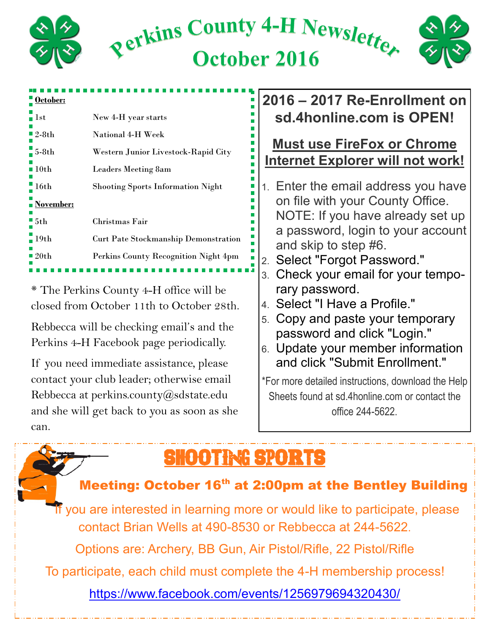

Rerkins County 4-H Newsletter October 2016



| October:                      |                                             |
|-------------------------------|---------------------------------------------|
| $\frac{1}{2}$ lst             | New 4-H year starts                         |
| $\frac{1}{2}$ 2-8th           | National 4-H Week                           |
| $-5-8th$                      | Western Junior Livestock-Rapid City         |
| $\overline{\phantom{1}}$ 10th | <b>Leaders Meeting 8am</b>                  |
| $-16th$                       | <b>Shooting Sports Information Night</b>    |
| November:                     |                                             |
| $\blacksquare$ 5th            | Christmas Fair                              |
| $-19th$                       | <b>Curt Pate Stockmanship Demonstration</b> |
| $\blacksquare$ 20th           | Perkins County Recognition Night 4pm        |
|                               |                                             |

\* The Perkins County 4-H office will be closed from October 11th to October 28th.

Rebbecca will be checking email's and the Perkins 4-H Facebook page periodically.

If you need immediate assistance, please contact your club leader; otherwise email Rebbecca at perkins.county@sdstate.edu and she will get back to you as soon as she can.

### **2016 – 2017 Re-Enrollment on sd.4honline.com is OPEN!**

### **Must use FireFox or Chrome Internet Explorer will not work!**

- 1. Enter the email address you have on file with your County Office. NOTE: If you have already set up a password, login to your account and skip to step #6.
- 2. Select "Forgot Password."
- 3. Check your email for your temporary password.
- 4. Select "I Have a Profile."
- 5. Copy and paste your temporary password and click "Login."
- 6. Update your member information and click "Submit Enrollment."

\*For more detailed instructions, download the Help Sheets found at sd.4honline.com or contact the office 244-5622.

# **SHOOTING SPORTS**

Meeting: October 16<sup>th</sup> at 2:00pm at the Bentley Building

 If you are interested in learning more or would like to participate, please contact Brian Wells at 490-8530 or Rebbecca at 244-5622.

Options are: Archery, BB Gun, Air Pistol/Rifle, 22 Pistol/Rifle

To participate, each child must complete the 4-H membership process!

https://www.facebook.com/events/1256979694320430/